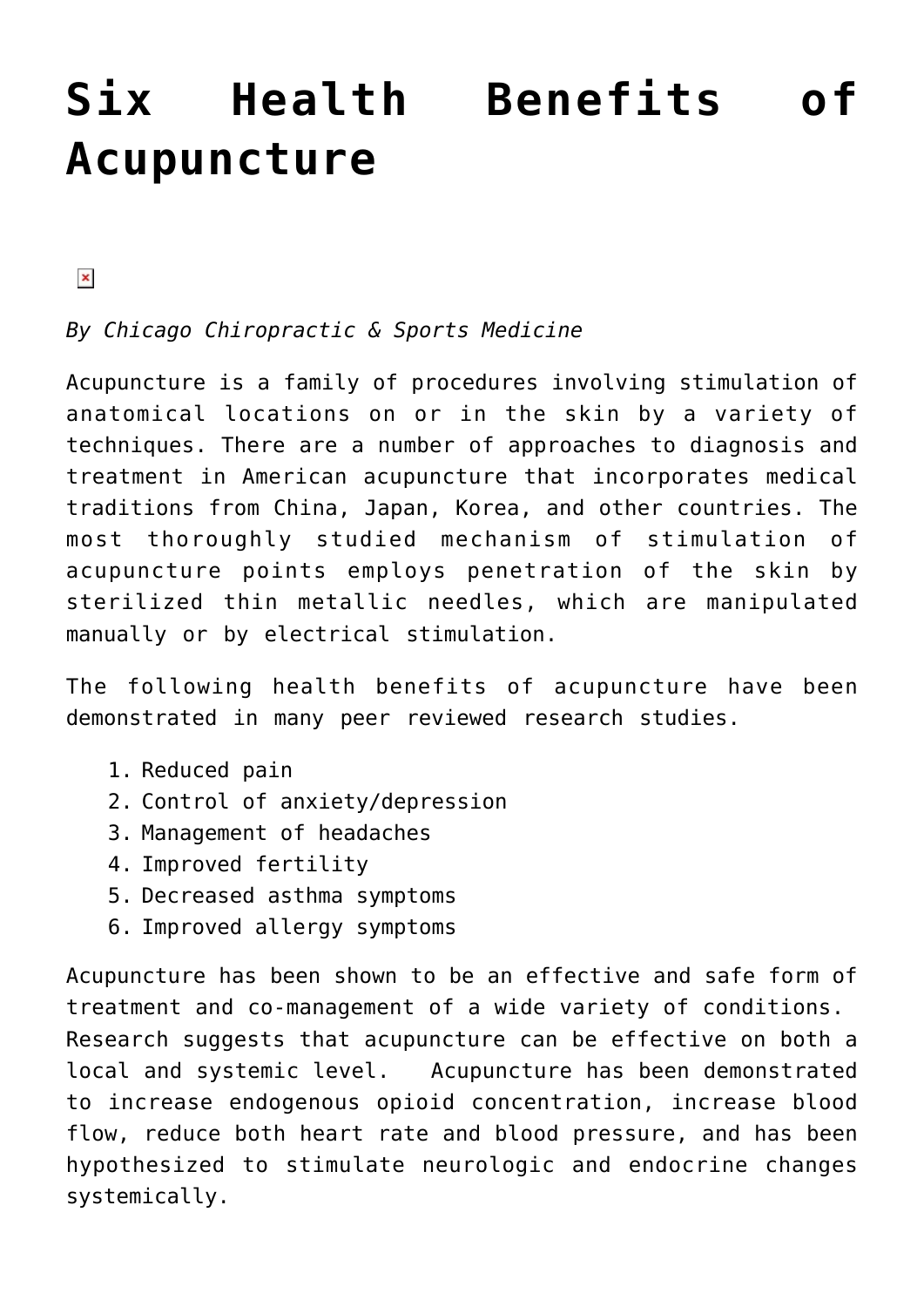## **[Six Health Benefits of](https://chicagochirosports.com/2014/11/six-health-benefits-of-acupuncture/) [Acupuncture](https://chicagochirosports.com/2014/11/six-health-benefits-of-acupuncture/)**

 $\pmb{\times}$ 

*By Chicago Chiropractic & Sports Medicine*

Acupuncture is a family of procedures involving stimulation of anatomical locations on or in the skin by a variety of techniques. There are a number of approaches to diagnosis and treatment in American acupuncture that incorporates medical traditions from China, Japan, Korea, and other countries. The most thoroughly studied mechanism of stimulation of acupuncture points employs penetration of the skin by sterilized thin metallic needles, which are manipulated manually or by electrical stimulation.

The following health benefits of acupuncture have been demonstrated in many peer reviewed research studies.

- 1. Reduced pain
- 2. Control of anxiety/depression
- 3. Management of headaches
- 4. Improved fertility
- 5. Decreased asthma symptoms
- 6. Improved allergy symptoms

Acupuncture has been shown to be an effective and safe form of treatment and co-management of a wide variety of conditions. Research suggests that acupuncture can be effective on both a local and systemic level. Acupuncture has been demonstrated to increase endogenous opioid concentration, increase blood flow, reduce both heart rate and blood pressure, and has been hypothesized to stimulate neurologic and endocrine changes systemically.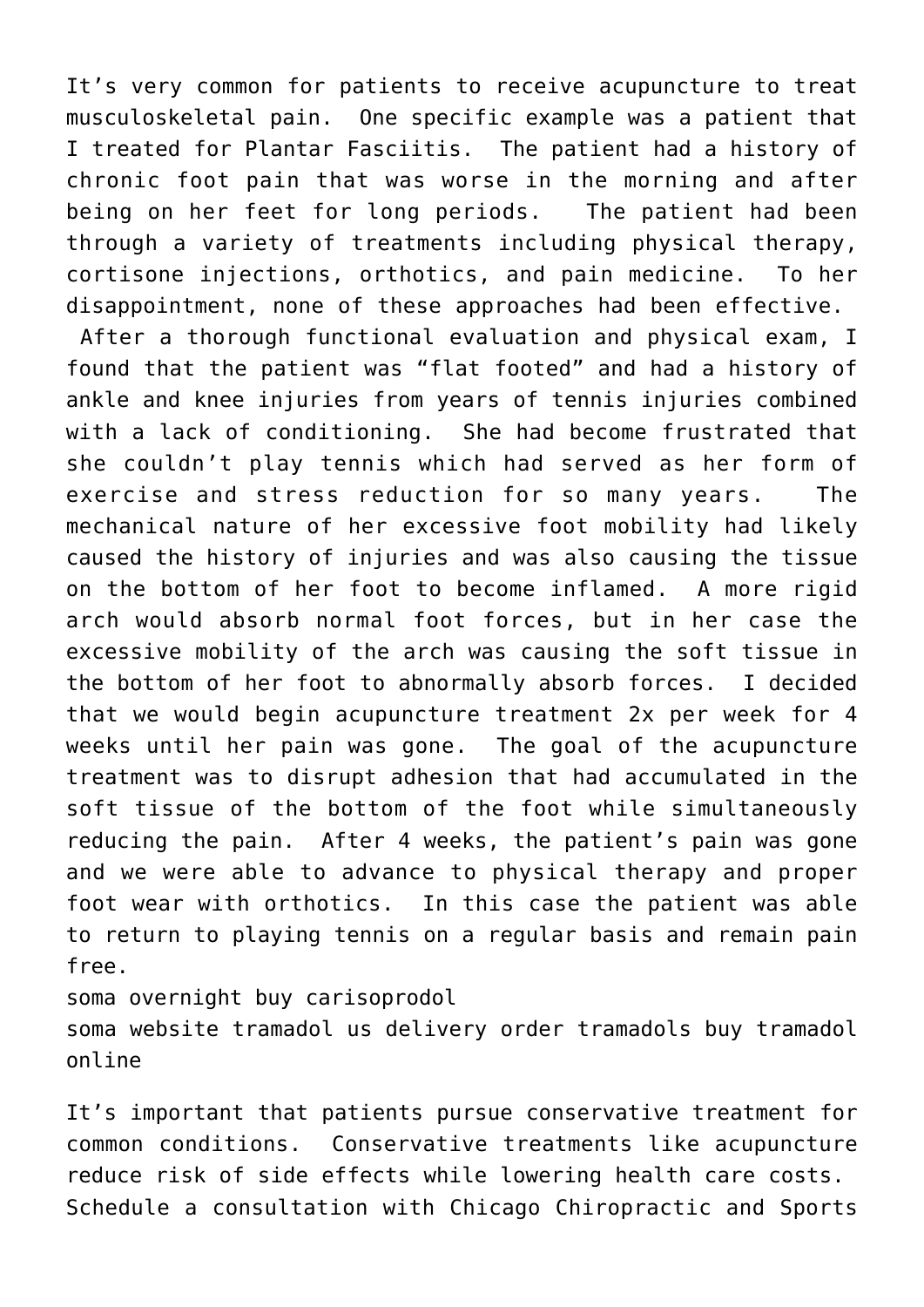It's very common for patients to receive acupuncture to treat musculoskeletal pain. One specific example was a patient that I treated for Plantar Fasciitis. The patient had a history of chronic foot pain that was worse in the morning and after being on her feet for long periods. The patient had been through a variety of treatments including physical therapy, cortisone injections, orthotics, and pain medicine. To her disappointment, none of these approaches had been effective.

 After a thorough functional evaluation and physical exam, I found that the patient was "flat footed" and had a history of ankle and knee injuries from years of tennis injuries combined with a lack of conditioning. She had become frustrated that she couldn't play tennis which had served as her form of exercise and stress reduction for so many years. The mechanical nature of her excessive foot mobility had likely caused the history of injuries and was also causing the tissue on the bottom of her foot to become inflamed. A more rigid arch would absorb normal foot forces, but in her case the excessive mobility of the arch was causing the soft tissue in the bottom of her foot to abnormally absorb forces. I decided that we would begin acupuncture treatment 2x per week for 4 weeks until her pain was gone. The goal of the acupuncture treatment was to disrupt adhesion that had accumulated in the soft tissue of the bottom of the foot while simultaneously reducing the pain. After 4 weeks, the patient's pain was gone and we were able to advance to physical therapy and proper foot wear with orthotics. In this case the patient was able to return to playing tennis on a regular basis and remain pain free.

soma overnight buy carisoprodol soma website tramadol us delivery order tramadols buy tramadol online

It's important that patients pursue conservative treatment for common conditions. Conservative treatments like acupuncture reduce risk of side effects while lowering health care costs. Schedule a consultation with Chicago Chiropractic and Sports